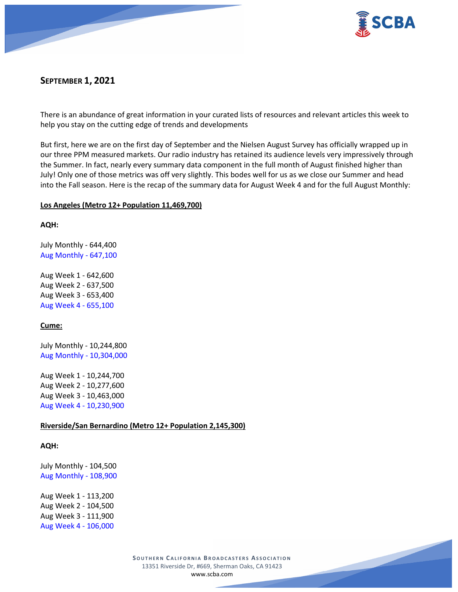

# **SEPTEMBER 1, 2021**

There is an abundance of great information in your curated lists of resources and relevant articles this week to help you stay on the cutting edge of trends and developments

But first, here we are on the first day of September and the Nielsen August Survey has officially wrapped up in our three PPM measured markets. Our radio industry has retained its audience levels very impressively through the Summer. In fact, nearly every summary data component in the full month of August finished higher than July! Only one of those metrics was off very slightly. This bodes well for us as we close our Summer and head into the Fall season. Here is the recap of the summary data for August Week 4 and for the full August Monthly:

# **Los Angeles (Metro 12+ Population 11,469,700)**

**AQH:**

July Monthly - 644,400 Aug Monthly - 647,100

Aug Week 1 - 642,600 Aug Week 2 - 637,500 Aug Week 3 - 653,400 Aug Week 4 - 655,100

# **Cume:**

July Monthly - 10,244,800 Aug Monthly - 10,304,000

Aug Week 1 - 10,244,700 Aug Week 2 - 10,277,600 Aug Week 3 - 10,463,000 Aug Week 4 - 10,230,900

# **Riverside/San Bernardino (Metro 12+ Population 2,145,300)**

**AQH:**

July Monthly - 104,500 Aug Monthly - 108,900

Aug Week 1 - 113,200 Aug Week 2 - 104,500 Aug Week 3 - 111,900 Aug Week 4 - 106,000

> **SOUTHERN C ALIFORNIA B ROADCASTERS ASSOCIATION** 13351 Riverside Dr, #669, Sherman Oaks, CA 91423 [www.scba.com](http://www.scba.com/)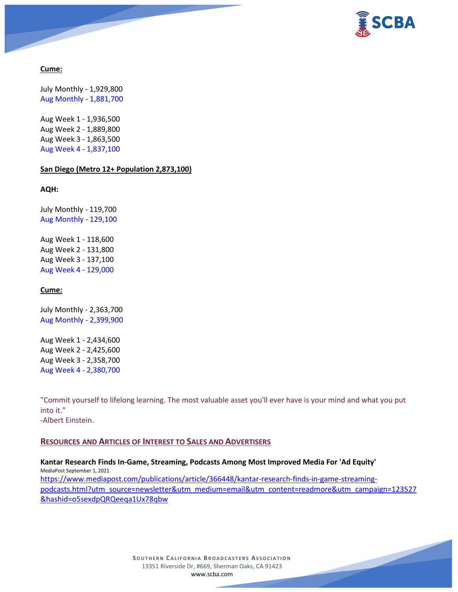

# **Cume:**

July Monthly - 1,929,800 Aug Monthly - 1,881,700

Aug Week 1 - 1,936,500 Aug Week 2 - 1,889,800 Aug Week 3 - 1,863,500 Aug Week 4 - 1,837,100

#### **San Diego (Metro 12+ Population 2,873,100)**

**AQH:**

July Monthly - 119,700 Aug Monthly - 129,100

Aug Week 1 - 118,600 Aug Week 2 - 131,800 Aug Week 3 - 137,100 Aug Week 4 - 129,000

# **Cume:**

July Monthly - 2,363,700 Aug Monthly - 2,399,900

Aug Week 1 - 2,434,600 Aug Week 2 - 2,425,600 Aug Week 3 - 2,358,700 Aug Week 4 - 2,380,700

"Commit yourself to lifelong learning. The most valuable asset you'll ever have is your mind and what you put into it."

-Albert Einstein.

# **RESOURCES AND ARTICLES OF INTEREST TO SALES AND ADVERTISERS**

**Kantar Research Finds In-Game, Streaming, Podcasts Among Most Improved Media For 'Ad Equity'** MediaPost September 1, 2021 [https://www.mediapost.com/publications/article/366448/kantar-research-finds-in-game-streaming](https://www.mediapost.com/publications/article/366448/kantar-research-finds-in-game-streaming-podcasts.html?utm_source=newsletter&utm_medium=email&utm_content=readmore&utm_campaign=123527&hashid=o5sexdpQRQeeqa1Ux78qbw)[podcasts.html?utm\\_source=newsletter&utm\\_medium=email&utm\\_content=readmore&utm\\_campaign=123527](https://www.mediapost.com/publications/article/366448/kantar-research-finds-in-game-streaming-podcasts.html?utm_source=newsletter&utm_medium=email&utm_content=readmore&utm_campaign=123527&hashid=o5sexdpQRQeeqa1Ux78qbw) [&hashid=o5sexdpQRQeeqa1Ux78qbw](https://www.mediapost.com/publications/article/366448/kantar-research-finds-in-game-streaming-podcasts.html?utm_source=newsletter&utm_medium=email&utm_content=readmore&utm_campaign=123527&hashid=o5sexdpQRQeeqa1Ux78qbw)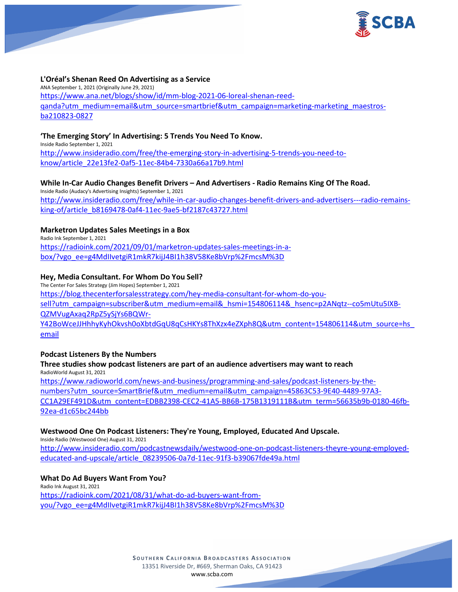

# **L'Oréal's Shenan Reed On Advertising as a Service**

ANA September 1, 2021 (Originally June 29, 2021) [https://www.ana.net/blogs/show/id/mm-blog-2021-06-loreal-shenan-reed](https://www.ana.net/blogs/show/id/mm-blog-2021-06-loreal-shenan-reed-qanda?utm_medium=email&utm_source=smartbrief&utm_campaign=marketing-marketing_maestros-ba210823-0827)[qanda?utm\\_medium=email&utm\\_source=smartbrief&utm\\_campaign=marketing-marketing\\_maestros](https://www.ana.net/blogs/show/id/mm-blog-2021-06-loreal-shenan-reed-qanda?utm_medium=email&utm_source=smartbrief&utm_campaign=marketing-marketing_maestros-ba210823-0827)[ba210823-0827](https://www.ana.net/blogs/show/id/mm-blog-2021-06-loreal-shenan-reed-qanda?utm_medium=email&utm_source=smartbrief&utm_campaign=marketing-marketing_maestros-ba210823-0827)

# **'The Emerging Story' In Advertising: 5 Trends You Need To Know.**

Inside Radio September 1, 2021

[http://www.insideradio.com/free/the-emerging-story-in-advertising-5-trends-you-need-to](http://www.insideradio.com/free/the-emerging-story-in-advertising-5-trends-you-need-to-know/article_22e13fe2-0af5-11ec-84b4-7330a66a17b9.html)[know/article\\_22e13fe2-0af5-11ec-84b4-7330a66a17b9.html](http://www.insideradio.com/free/the-emerging-story-in-advertising-5-trends-you-need-to-know/article_22e13fe2-0af5-11ec-84b4-7330a66a17b9.html)

# **While In-Car Audio Changes Benefit Drivers – And Advertisers - Radio Remains King Of The Road.**

Inside Radio (Audacy's Advertising Insights) September 1, 2021 [http://www.insideradio.com/free/while-in-car-audio-changes-benefit-drivers-and-advertisers---radio-remains](http://www.insideradio.com/free/while-in-car-audio-changes-benefit-drivers-and-advertisers---radio-remains-king-of/article_b8169478-0af4-11ec-9ae5-bf2187c43727.html)[king-of/article\\_b8169478-0af4-11ec-9ae5-bf2187c43727.html](http://www.insideradio.com/free/while-in-car-audio-changes-benefit-drivers-and-advertisers---radio-remains-king-of/article_b8169478-0af4-11ec-9ae5-bf2187c43727.html)

# **Marketron Updates Sales Meetings in a Box**

Radio Ink September 1, 2021 [https://radioink.com/2021/09/01/marketron-updates-sales-meetings-in-a](https://radioink.com/2021/09/01/marketron-updates-sales-meetings-in-a-box/?vgo_ee=g4MdIIvetgiR1mkR7kijJ4BI1h38V58Ke8bVrp%2FmcsM%3D)[box/?vgo\\_ee=g4MdIIvetgiR1mkR7kijJ4BI1h38V58Ke8bVrp%2FmcsM%3D](https://radioink.com/2021/09/01/marketron-updates-sales-meetings-in-a-box/?vgo_ee=g4MdIIvetgiR1mkR7kijJ4BI1h38V58Ke8bVrp%2FmcsM%3D)

# **Hey, Media Consultant. For Whom Do You Sell?**

The Center For Sales Strategy (Jim Hopes) September 1, 2021 [https://blog.thecenterforsalesstrategy.com/hey-media-consultant-for-whom-do-you](https://blog.thecenterforsalesstrategy.com/hey-media-consultant-for-whom-do-you-sell?utm_campaign=subscriber&utm_medium=email&_hsmi=154806114&_hsenc=p2ANqtz--co5mUtu5IXB-QZMVugAxaq2RpZ5ySjYs6BQWr-Y42BoWceJJHhhyKyhOkvsh0oXbtdGqU8qCsHKYs8ThXzx4eZXph8Q&utm_content=154806114&utm_source=hs_email)[sell?utm\\_campaign=subscriber&utm\\_medium=email&\\_hsmi=154806114&\\_hsenc=p2ANqtz--co5mUtu5IXB-](https://blog.thecenterforsalesstrategy.com/hey-media-consultant-for-whom-do-you-sell?utm_campaign=subscriber&utm_medium=email&_hsmi=154806114&_hsenc=p2ANqtz--co5mUtu5IXB-QZMVugAxaq2RpZ5ySjYs6BQWr-Y42BoWceJJHhhyKyhOkvsh0oXbtdGqU8qCsHKYs8ThXzx4eZXph8Q&utm_content=154806114&utm_source=hs_email)[QZMVugAxaq2RpZ5ySjYs6BQWr-](https://blog.thecenterforsalesstrategy.com/hey-media-consultant-for-whom-do-you-sell?utm_campaign=subscriber&utm_medium=email&_hsmi=154806114&_hsenc=p2ANqtz--co5mUtu5IXB-QZMVugAxaq2RpZ5ySjYs6BQWr-Y42BoWceJJHhhyKyhOkvsh0oXbtdGqU8qCsHKYs8ThXzx4eZXph8Q&utm_content=154806114&utm_source=hs_email)[Y42BoWceJJHhhyKyhOkvsh0oXbtdGqU8qCsHKYs8ThXzx4eZXph8Q&utm\\_content=154806114&utm\\_source=hs\\_](https://blog.thecenterforsalesstrategy.com/hey-media-consultant-for-whom-do-you-sell?utm_campaign=subscriber&utm_medium=email&_hsmi=154806114&_hsenc=p2ANqtz--co5mUtu5IXB-QZMVugAxaq2RpZ5ySjYs6BQWr-Y42BoWceJJHhhyKyhOkvsh0oXbtdGqU8qCsHKYs8ThXzx4eZXph8Q&utm_content=154806114&utm_source=hs_email) [email](https://blog.thecenterforsalesstrategy.com/hey-media-consultant-for-whom-do-you-sell?utm_campaign=subscriber&utm_medium=email&_hsmi=154806114&_hsenc=p2ANqtz--co5mUtu5IXB-QZMVugAxaq2RpZ5ySjYs6BQWr-Y42BoWceJJHhhyKyhOkvsh0oXbtdGqU8qCsHKYs8ThXzx4eZXph8Q&utm_content=154806114&utm_source=hs_email)

# **Podcast Listeners By the Numbers**

# **Three studies show podcast listeners are part of an audience advertisers may want to reach** RadioWorld August 31, 2021 [https://www.radioworld.com/news-and-business/programming-and-sales/podcast-listeners-by-the](https://www.radioworld.com/news-and-business/programming-and-sales/podcast-listeners-by-the-numbers?utm_source=SmartBrief&utm_medium=email&utm_campaign=45863C53-9E40-4489-97A3-CC1A29EF491D&utm_content=EDBB2398-CEC2-41A5-BB6B-175B1319111B&utm_term=56635b9b-0180-46fb-92ea-d1c65bc244bb)[numbers?utm\\_source=SmartBrief&utm\\_medium=email&utm\\_campaign=45863C53-9E40-4489-97A3-](https://www.radioworld.com/news-and-business/programming-and-sales/podcast-listeners-by-the-numbers?utm_source=SmartBrief&utm_medium=email&utm_campaign=45863C53-9E40-4489-97A3-CC1A29EF491D&utm_content=EDBB2398-CEC2-41A5-BB6B-175B1319111B&utm_term=56635b9b-0180-46fb-92ea-d1c65bc244bb) [CC1A29EF491D&utm\\_content=EDBB2398-CEC2-41A5-BB6B-175B1319111B&utm\\_term=56635b9b-0180-46fb-](https://www.radioworld.com/news-and-business/programming-and-sales/podcast-listeners-by-the-numbers?utm_source=SmartBrief&utm_medium=email&utm_campaign=45863C53-9E40-4489-97A3-CC1A29EF491D&utm_content=EDBB2398-CEC2-41A5-BB6B-175B1319111B&utm_term=56635b9b-0180-46fb-92ea-d1c65bc244bb)[92ea-d1c65bc244bb](https://www.radioworld.com/news-and-business/programming-and-sales/podcast-listeners-by-the-numbers?utm_source=SmartBrief&utm_medium=email&utm_campaign=45863C53-9E40-4489-97A3-CC1A29EF491D&utm_content=EDBB2398-CEC2-41A5-BB6B-175B1319111B&utm_term=56635b9b-0180-46fb-92ea-d1c65bc244bb)

# **Westwood One On Podcast Listeners: They're Young, Employed, Educated And Upscale.**

Inside Radio (Westwood One) August 31, 2021

[http://www.insideradio.com/podcastnewsdaily/westwood-one-on-podcast-listeners-theyre-young-employed](http://www.insideradio.com/podcastnewsdaily/westwood-one-on-podcast-listeners-theyre-young-employed-educated-and-upscale/article_08239506-0a7d-11ec-91f3-b39067fde49a.html)[educated-and-upscale/article\\_08239506-0a7d-11ec-91f3-b39067fde49a.html](http://www.insideradio.com/podcastnewsdaily/westwood-one-on-podcast-listeners-theyre-young-employed-educated-and-upscale/article_08239506-0a7d-11ec-91f3-b39067fde49a.html)

# **What Do Ad Buyers Want From You?**

Radio Ink August 31, 2021 [https://radioink.com/2021/08/31/what-do-ad-buyers-want-from](https://radioink.com/2021/08/31/what-do-ad-buyers-want-from-you/?vgo_ee=g4MdIIvetgiR1mkR7kijJ4BI1h38V58Ke8bVrp%2FmcsM%3D)[you/?vgo\\_ee=g4MdIIvetgiR1mkR7kijJ4BI1h38V58Ke8bVrp%2FmcsM%3D](https://radioink.com/2021/08/31/what-do-ad-buyers-want-from-you/?vgo_ee=g4MdIIvetgiR1mkR7kijJ4BI1h38V58Ke8bVrp%2FmcsM%3D)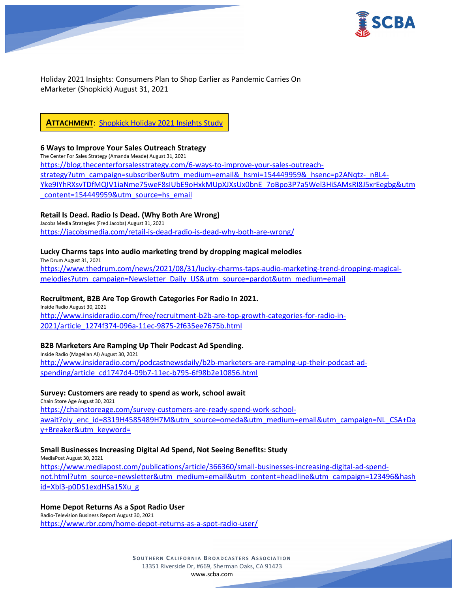

Holiday 2021 Insights: Consumers Plan to Shop Earlier as Pandemic Carries On eMarketer (Shopkick) August 31, 2021

# **ATTACHMENT**: Shopkick [Holiday 2021 Insights Study](https://scba.com/wp-content/uploads/2021/09/Shopkick-Holiday-2021-Insights-Study-.pdf)

#### **6 Ways to Improve Your Sales Outreach Strategy**

The Center For Sales Strategy (Amanda Meade) August 31, 2021 [https://blog.thecenterforsalesstrategy.com/6-ways-to-improve-your-sales-outreach](https://blog.thecenterforsalesstrategy.com/6-ways-to-improve-your-sales-outreach-strategy?utm_campaign=subscriber&utm_medium=email&_hsmi=154449959&_hsenc=p2ANqtz-_nBL4-Yke9IYhRXsvTDfMQIV1iaNme75weF8sIUbE9oHxkMUpXJXsUx0bnE_7oBpo3P7a5Wel3HiSAMsRI8J5xrEegbg&utm_content=154449959&utm_source=hs_email)[strategy?utm\\_campaign=subscriber&utm\\_medium=email&\\_hsmi=154449959&\\_hsenc=p2ANqtz-\\_nBL4-](https://blog.thecenterforsalesstrategy.com/6-ways-to-improve-your-sales-outreach-strategy?utm_campaign=subscriber&utm_medium=email&_hsmi=154449959&_hsenc=p2ANqtz-_nBL4-Yke9IYhRXsvTDfMQIV1iaNme75weF8sIUbE9oHxkMUpXJXsUx0bnE_7oBpo3P7a5Wel3HiSAMsRI8J5xrEegbg&utm_content=154449959&utm_source=hs_email) [Yke9IYhRXsvTDfMQIV1iaNme75weF8sIUbE9oHxkMUpXJXsUx0bnE\\_7oBpo3P7a5Wel3HiSAMsRI8J5xrEegbg&utm](https://blog.thecenterforsalesstrategy.com/6-ways-to-improve-your-sales-outreach-strategy?utm_campaign=subscriber&utm_medium=email&_hsmi=154449959&_hsenc=p2ANqtz-_nBL4-Yke9IYhRXsvTDfMQIV1iaNme75weF8sIUbE9oHxkMUpXJXsUx0bnE_7oBpo3P7a5Wel3HiSAMsRI8J5xrEegbg&utm_content=154449959&utm_source=hs_email) [\\_content=154449959&utm\\_source=hs\\_email](https://blog.thecenterforsalesstrategy.com/6-ways-to-improve-your-sales-outreach-strategy?utm_campaign=subscriber&utm_medium=email&_hsmi=154449959&_hsenc=p2ANqtz-_nBL4-Yke9IYhRXsvTDfMQIV1iaNme75weF8sIUbE9oHxkMUpXJXsUx0bnE_7oBpo3P7a5Wel3HiSAMsRI8J5xrEegbg&utm_content=154449959&utm_source=hs_email)

# **Retail Is Dead. Radio Is Dead. (Why Both Are Wrong)**

Jacobs Media Strategies (Fred Jacobs) August 31, 2021 <https://jacobsmedia.com/retail-is-dead-radio-is-dead-why-both-are-wrong/>

# **Lucky Charms taps into audio marketing trend by dropping magical melodies**

The Drum August 31, 2021 [https://www.thedrum.com/news/2021/08/31/lucky-charms-taps-audio-marketing-trend-dropping-magical](https://www.thedrum.com/news/2021/08/31/lucky-charms-taps-audio-marketing-trend-dropping-magical-melodies?utm_campaign=Newsletter_Daily_US&utm_source=pardot&utm_medium=email)[melodies?utm\\_campaign=Newsletter\\_Daily\\_US&utm\\_source=pardot&utm\\_medium=email](https://www.thedrum.com/news/2021/08/31/lucky-charms-taps-audio-marketing-trend-dropping-magical-melodies?utm_campaign=Newsletter_Daily_US&utm_source=pardot&utm_medium=email)

# **Recruitment, B2B Are Top Growth Categories For Radio In 2021.**

Inside Radio August 30, 2021 [http://www.insideradio.com/free/recruitment-b2b-are-top-growth-categories-for-radio-in-](http://www.insideradio.com/free/recruitment-b2b-are-top-growth-categories-for-radio-in-2021/article_1274f374-096a-11ec-9875-2f635ee7675b.html)[2021/article\\_1274f374-096a-11ec-9875-2f635ee7675b.html](http://www.insideradio.com/free/recruitment-b2b-are-top-growth-categories-for-radio-in-2021/article_1274f374-096a-11ec-9875-2f635ee7675b.html)

# **B2B Marketers Are Ramping Up Their Podcast Ad Spending.**

Inside Radio (Magellan AI) August 30, 2021 [http://www.insideradio.com/podcastnewsdaily/b2b-marketers-are-ramping-up-their-podcast-ad](http://www.insideradio.com/podcastnewsdaily/b2b-marketers-are-ramping-up-their-podcast-ad-spending/article_cd1747d4-09b7-11ec-b795-6f98b2e10856.html)[spending/article\\_cd1747d4-09b7-11ec-b795-6f98b2e10856.html](http://www.insideradio.com/podcastnewsdaily/b2b-marketers-are-ramping-up-their-podcast-ad-spending/article_cd1747d4-09b7-11ec-b795-6f98b2e10856.html)

# **Survey: Customers are ready to spend as work, school await**

Chain Store Age August 30, 2021 [https://chainstoreage.com/survey-customers-are-ready-spend-work-school](https://chainstoreage.com/survey-customers-are-ready-spend-work-school-await?oly_enc_id=8319H4585489H7M&utm_source=omeda&utm_medium=email&utm_campaign=NL_CSA+Day+Breaker&utm_keyword=)[await?oly\\_enc\\_id=8319H4585489H7M&utm\\_source=omeda&utm\\_medium=email&utm\\_campaign=NL\\_CSA+Da](https://chainstoreage.com/survey-customers-are-ready-spend-work-school-await?oly_enc_id=8319H4585489H7M&utm_source=omeda&utm_medium=email&utm_campaign=NL_CSA+Day+Breaker&utm_keyword=) [y+Breaker&utm\\_keyword=](https://chainstoreage.com/survey-customers-are-ready-spend-work-school-await?oly_enc_id=8319H4585489H7M&utm_source=omeda&utm_medium=email&utm_campaign=NL_CSA+Day+Breaker&utm_keyword=)

# **Small Businesses Increasing Digital Ad Spend, Not Seeing Benefits: Study**

MediaPost August 30, 2021 [https://www.mediapost.com/publications/article/366360/small-businesses-increasing-digital-ad-spend](https://www.mediapost.com/publications/article/366360/small-businesses-increasing-digital-ad-spend-not.html?utm_source=newsletter&utm_medium=email&utm_content=headline&utm_campaign=123496&hashid=Xbl3-p0DS1exdHSa15Xu_g)[not.html?utm\\_source=newsletter&utm\\_medium=email&utm\\_content=headline&utm\\_campaign=123496&hash](https://www.mediapost.com/publications/article/366360/small-businesses-increasing-digital-ad-spend-not.html?utm_source=newsletter&utm_medium=email&utm_content=headline&utm_campaign=123496&hashid=Xbl3-p0DS1exdHSa15Xu_g) [id=Xbl3-p0DS1exdHSa15Xu\\_g](https://www.mediapost.com/publications/article/366360/small-businesses-increasing-digital-ad-spend-not.html?utm_source=newsletter&utm_medium=email&utm_content=headline&utm_campaign=123496&hashid=Xbl3-p0DS1exdHSa15Xu_g)

# **Home Depot Returns As a Spot Radio User**

Radio-Television Business Report August 30, 2021 <https://www.rbr.com/home-depot-returns-as-a-spot-radio-user/>

> **SOUTHERN C ALIFORNIA B ROADCASTERS ASSOCIATION** 13351 Riverside Dr, #669, Sherman Oaks, CA 91423 [www.scba.com](http://www.scba.com/)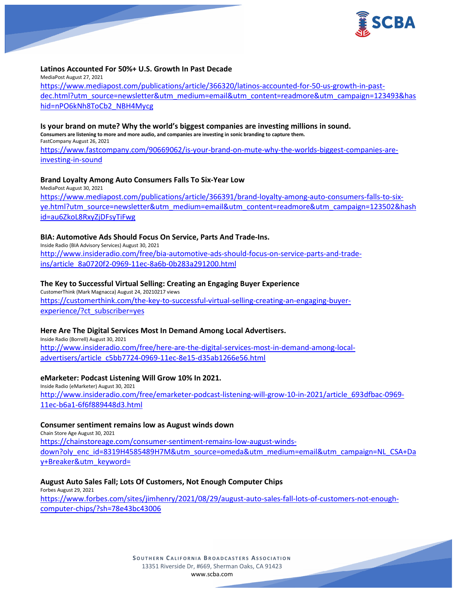

#### **Latinos Accounted For 50%+ U.S. Growth In Past Decade**

MediaPost August 27, 2021 [https://www.mediapost.com/publications/article/366320/latinos-accounted-for-50-us-growth-in-past](https://www.mediapost.com/publications/article/366320/latinos-accounted-for-50-us-growth-in-past-dec.html?utm_source=newsletter&utm_medium=email&utm_content=readmore&utm_campaign=123493&hashid=nPO6kNh8ToCb2_NBH4Mycg)[dec.html?utm\\_source=newsletter&utm\\_medium=email&utm\\_content=readmore&utm\\_campaign=123493&has](https://www.mediapost.com/publications/article/366320/latinos-accounted-for-50-us-growth-in-past-dec.html?utm_source=newsletter&utm_medium=email&utm_content=readmore&utm_campaign=123493&hashid=nPO6kNh8ToCb2_NBH4Mycg) [hid=nPO6kNh8ToCb2\\_NBH4Mycg](https://www.mediapost.com/publications/article/366320/latinos-accounted-for-50-us-growth-in-past-dec.html?utm_source=newsletter&utm_medium=email&utm_content=readmore&utm_campaign=123493&hashid=nPO6kNh8ToCb2_NBH4Mycg)

#### **Is your brand on mute? Why the world's biggest companies are investing millions in sound.**

**Consumers are listening to more and more audio, and companies are investing in sonic branding to capture them.** FastCompany August 26, 2021 [https://www.fastcompany.com/90669062/is-your-brand-on-mute-why-the-worlds-biggest-companies-are](https://www.fastcompany.com/90669062/is-your-brand-on-mute-why-the-worlds-biggest-companies-are-investing-in-sound)[investing-in-sound](https://www.fastcompany.com/90669062/is-your-brand-on-mute-why-the-worlds-biggest-companies-are-investing-in-sound)

#### **Brand Loyalty Among Auto Consumers Falls To Six-Year Low**

MediaPost August 30, 2021 [https://www.mediapost.com/publications/article/366391/brand-loyalty-among-auto-consumers-falls-to-six](https://www.mediapost.com/publications/article/366391/brand-loyalty-among-auto-consumers-falls-to-six-ye.html?utm_source=newsletter&utm_medium=email&utm_content=readmore&utm_campaign=123502&hashid=au6ZkoL8RxyZjDFsyTiFwg)[ye.html?utm\\_source=newsletter&utm\\_medium=email&utm\\_content=readmore&utm\\_campaign=123502&hash](https://www.mediapost.com/publications/article/366391/brand-loyalty-among-auto-consumers-falls-to-six-ye.html?utm_source=newsletter&utm_medium=email&utm_content=readmore&utm_campaign=123502&hashid=au6ZkoL8RxyZjDFsyTiFwg) [id=au6ZkoL8RxyZjDFsyTiFwg](https://www.mediapost.com/publications/article/366391/brand-loyalty-among-auto-consumers-falls-to-six-ye.html?utm_source=newsletter&utm_medium=email&utm_content=readmore&utm_campaign=123502&hashid=au6ZkoL8RxyZjDFsyTiFwg)

# **BIA: Automotive Ads Should Focus On Service, Parts And Trade-Ins.**

Inside Radio (BIA Advisory Services) August 30, 2021 [http://www.insideradio.com/free/bia-automotive-ads-should-focus-on-service-parts-and-trade](http://www.insideradio.com/free/bia-automotive-ads-should-focus-on-service-parts-and-trade-ins/article_8a0720f2-0969-11ec-8a6b-0b283a291200.html)[ins/article\\_8a0720f2-0969-11ec-8a6b-0b283a291200.html](http://www.insideradio.com/free/bia-automotive-ads-should-focus-on-service-parts-and-trade-ins/article_8a0720f2-0969-11ec-8a6b-0b283a291200.html)

#### **The Key to Successful Virtual Selling: Creating an Engaging Buyer Experience**

CustomerThink (Mark Magnacca) August 24, 20210217 views [https://customerthink.com/the-key-to-successful-virtual-selling-creating-an-engaging-buyer](https://customerthink.com/the-key-to-successful-virtual-selling-creating-an-engaging-buyer-experience/?ct_subscriber=yes)[experience/?ct\\_subscriber=yes](https://customerthink.com/the-key-to-successful-virtual-selling-creating-an-engaging-buyer-experience/?ct_subscriber=yes)

# **Here Are The Digital Services Most In Demand Among Local Advertisers.**

Inside Radio (Borrell) August 30, 2021 [http://www.insideradio.com/free/here-are-the-digital-services-most-in-demand-among-local](http://www.insideradio.com/free/here-are-the-digital-services-most-in-demand-among-local-advertisers/article_c5bb7724-0969-11ec-8e15-d35ab1266e56.html)[advertisers/article\\_c5bb7724-0969-11ec-8e15-d35ab1266e56.html](http://www.insideradio.com/free/here-are-the-digital-services-most-in-demand-among-local-advertisers/article_c5bb7724-0969-11ec-8e15-d35ab1266e56.html)

# **eMarketer: Podcast Listening Will Grow 10% In 2021.**

Inside Radio (eMarketer) August 30, 2021 [http://www.insideradio.com/free/emarketer-podcast-listening-will-grow-10-in-2021/article\\_693dfbac-0969-](http://www.insideradio.com/free/emarketer-podcast-listening-will-grow-10-in-2021/article_693dfbac-0969-11ec-b6a1-6f6f889448d3.html) [11ec-b6a1-6f6f889448d3.html](http://www.insideradio.com/free/emarketer-podcast-listening-will-grow-10-in-2021/article_693dfbac-0969-11ec-b6a1-6f6f889448d3.html)

# **Consumer sentiment remains low as August winds down**

Chain Store Age August 30, 2021 [https://chainstoreage.com/consumer-sentiment-remains-low-august-winds](https://chainstoreage.com/consumer-sentiment-remains-low-august-winds-down?oly_enc_id=8319H4585489H7M&utm_source=omeda&utm_medium=email&utm_campaign=NL_CSA+Day+Breaker&utm_keyword=)[down?oly\\_enc\\_id=8319H4585489H7M&utm\\_source=omeda&utm\\_medium=email&utm\\_campaign=NL\\_CSA+Da](https://chainstoreage.com/consumer-sentiment-remains-low-august-winds-down?oly_enc_id=8319H4585489H7M&utm_source=omeda&utm_medium=email&utm_campaign=NL_CSA+Day+Breaker&utm_keyword=) [y+Breaker&utm\\_keyword=](https://chainstoreage.com/consumer-sentiment-remains-low-august-winds-down?oly_enc_id=8319H4585489H7M&utm_source=omeda&utm_medium=email&utm_campaign=NL_CSA+Day+Breaker&utm_keyword=)

#### **August Auto Sales Fall; Lots Of Customers, Not Enough Computer Chips**

Forbes August 29, 2021 [https://www.forbes.com/sites/jimhenry/2021/08/29/august-auto-sales-fall-lots-of-customers-not-enough](https://www.forbes.com/sites/jimhenry/2021/08/29/august-auto-sales-fall-lots-of-customers-not-enough-computer-chips/?sh=78e43bc43006)[computer-chips/?sh=78e43bc43006](https://www.forbes.com/sites/jimhenry/2021/08/29/august-auto-sales-fall-lots-of-customers-not-enough-computer-chips/?sh=78e43bc43006)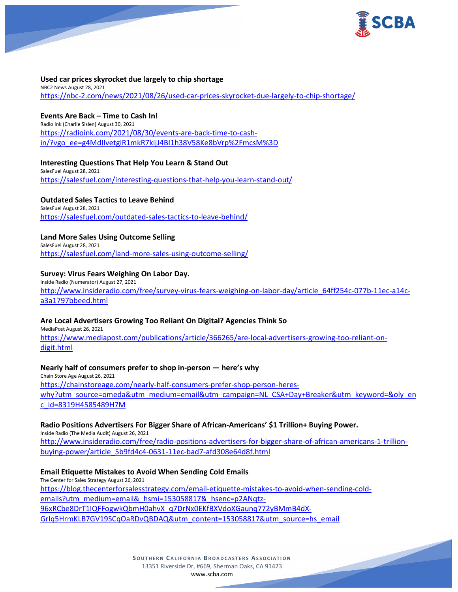

# **Used car prices skyrocket due largely to chip shortage**

NBC2 News August 28, 2021 <https://nbc-2.com/news/2021/08/26/used-car-prices-skyrocket-due-largely-to-chip-shortage/>

# **Events Are Back – Time to Cash In!**

Radio Ink (Charlie Sislen) August 30, 2021 [https://radioink.com/2021/08/30/events-are-back-time-to-cash](https://radioink.com/2021/08/30/events-are-back-time-to-cash-in/?vgo_ee=g4MdIIvetgiR1mkR7kijJ4BI1h38V58Ke8bVrp%2FmcsM%3D)[in/?vgo\\_ee=g4MdIIvetgiR1mkR7kijJ4BI1h38V58Ke8bVrp%2FmcsM%3D](https://radioink.com/2021/08/30/events-are-back-time-to-cash-in/?vgo_ee=g4MdIIvetgiR1mkR7kijJ4BI1h38V58Ke8bVrp%2FmcsM%3D)

# **Interesting Questions That Help You Learn & Stand Out**

SalesFuel August 28, 2021 <https://salesfuel.com/interesting-questions-that-help-you-learn-stand-out/>

# **Outdated Sales Tactics to Leave Behind**

SalesFuel August 28, 2021

<https://salesfuel.com/outdated-sales-tactics-to-leave-behind/>

# **Land More Sales Using Outcome Selling**

SalesFuel August 28, 2021 <https://salesfuel.com/land-more-sales-using-outcome-selling/>

# **Survey: Virus Fears Weighing On Labor Day.**

Inside Radio (Numerator) August 27, 2021 [http://www.insideradio.com/free/survey-virus-fears-weighing-on-labor-day/article\\_64ff254c-077b-11ec-a14c](http://www.insideradio.com/free/survey-virus-fears-weighing-on-labor-day/article_64ff254c-077b-11ec-a14c-a3a1797bbeed.html)[a3a1797bbeed.html](http://www.insideradio.com/free/survey-virus-fears-weighing-on-labor-day/article_64ff254c-077b-11ec-a14c-a3a1797bbeed.html)

# **Are Local Advertisers Growing Too Reliant On Digital? Agencies Think So**

MediaPost August 26, 2021 [https://www.mediapost.com/publications/article/366265/are-local-advertisers-growing-too-reliant-on](https://www.mediapost.com/publications/article/366265/are-local-advertisers-growing-too-reliant-on-digit.html)[digit.html](https://www.mediapost.com/publications/article/366265/are-local-advertisers-growing-too-reliant-on-digit.html)

# **Nearly half of consumers prefer to shop in-person — here's why**

Chain Store Age August 26, 2021 [https://chainstoreage.com/nearly-half-consumers-prefer-shop-person-heres](https://chainstoreage.com/nearly-half-consumers-prefer-shop-person-heres-why?utm_source=omeda&utm_medium=email&utm_campaign=NL_CSA+Day+Breaker&utm_keyword=&oly_enc_id=8319H4585489H7M)[why?utm\\_source=omeda&utm\\_medium=email&utm\\_campaign=NL\\_CSA+Day+Breaker&utm\\_keyword=&oly\\_en](https://chainstoreage.com/nearly-half-consumers-prefer-shop-person-heres-why?utm_source=omeda&utm_medium=email&utm_campaign=NL_CSA+Day+Breaker&utm_keyword=&oly_enc_id=8319H4585489H7M) [c\\_id=8319H4585489H7M](https://chainstoreage.com/nearly-half-consumers-prefer-shop-person-heres-why?utm_source=omeda&utm_medium=email&utm_campaign=NL_CSA+Day+Breaker&utm_keyword=&oly_enc_id=8319H4585489H7M)

# **Radio Positions Advertisers For Bigger Share of African-Americans' \$1 Trillion+ Buying Power.**

Inside Radio (The Media Audit) August 26, 2021 [http://www.insideradio.com/free/radio-positions-advertisers-for-bigger-share-of-african-americans-1-trillion](http://www.insideradio.com/free/radio-positions-advertisers-for-bigger-share-of-african-americans-1-trillion-buying-power/article_5b9fd4c4-0631-11ec-bad7-afd308e64d8f.html)[buying-power/article\\_5b9fd4c4-0631-11ec-bad7-afd308e64d8f.html](http://www.insideradio.com/free/radio-positions-advertisers-for-bigger-share-of-african-americans-1-trillion-buying-power/article_5b9fd4c4-0631-11ec-bad7-afd308e64d8f.html)

# **Email Etiquette Mistakes to Avoid When Sending Cold Emails**

The Center for Sales Strategy August 26, 2021 [https://blog.thecenterforsalesstrategy.com/email-etiquette-mistakes-to-avoid-when-sending-cold](https://blog.thecenterforsalesstrategy.com/email-etiquette-mistakes-to-avoid-when-sending-cold-emails?utm_medium=email&_hsmi=153058817&_hsenc=p2ANqtz-96xRCbe8DrT1IQFFogwkQbmH0ahvX_q7DrNx0EKfBXVdoXGaunq772yBMmB4dX-GrIq5HrmKLB7GV19SCqOaRDvQBDAQ&utm_content=153058817&utm_source=hs_email)[emails?utm\\_medium=email&\\_hsmi=153058817&\\_hsenc=p2ANqtz-](https://blog.thecenterforsalesstrategy.com/email-etiquette-mistakes-to-avoid-when-sending-cold-emails?utm_medium=email&_hsmi=153058817&_hsenc=p2ANqtz-96xRCbe8DrT1IQFFogwkQbmH0ahvX_q7DrNx0EKfBXVdoXGaunq772yBMmB4dX-GrIq5HrmKLB7GV19SCqOaRDvQBDAQ&utm_content=153058817&utm_source=hs_email)[96xRCbe8DrT1IQFFogwkQbmH0ahvX\\_q7DrNx0EKfBXVdoXGaunq772yBMmB4dX-](https://blog.thecenterforsalesstrategy.com/email-etiquette-mistakes-to-avoid-when-sending-cold-emails?utm_medium=email&_hsmi=153058817&_hsenc=p2ANqtz-96xRCbe8DrT1IQFFogwkQbmH0ahvX_q7DrNx0EKfBXVdoXGaunq772yBMmB4dX-GrIq5HrmKLB7GV19SCqOaRDvQBDAQ&utm_content=153058817&utm_source=hs_email)[GrIq5HrmKLB7GV19SCqOaRDvQBDAQ&utm\\_content=153058817&utm\\_source=hs\\_email](https://blog.thecenterforsalesstrategy.com/email-etiquette-mistakes-to-avoid-when-sending-cold-emails?utm_medium=email&_hsmi=153058817&_hsenc=p2ANqtz-96xRCbe8DrT1IQFFogwkQbmH0ahvX_q7DrNx0EKfBXVdoXGaunq772yBMmB4dX-GrIq5HrmKLB7GV19SCqOaRDvQBDAQ&utm_content=153058817&utm_source=hs_email)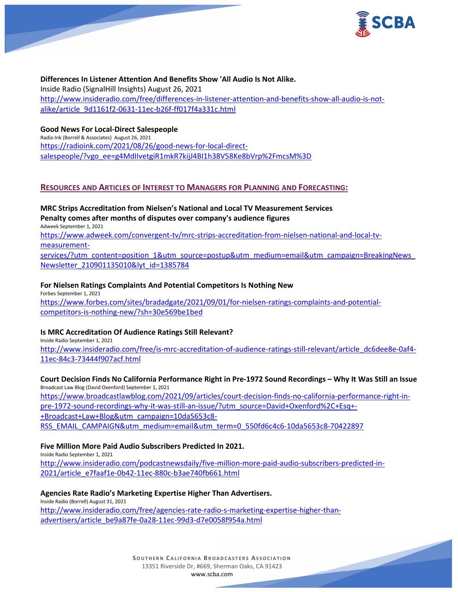

# **Differences In Listener Attention And Benefits Show 'All Audio Is Not Alike.**

Inside Radio (SignalHill Insights) August 26, 2021 [http://www.insideradio.com/free/differences-in-listener-attention-and-benefits-show-all-audio-is-not](http://www.insideradio.com/free/differences-in-listener-attention-and-benefits-show-all-audio-is-not-alike/article_9d1161f2-0631-11ec-b26f-ff017f4a331c.html)[alike/article\\_9d1161f2-0631-11ec-b26f-ff017f4a331c.html](http://www.insideradio.com/free/differences-in-listener-attention-and-benefits-show-all-audio-is-not-alike/article_9d1161f2-0631-11ec-b26f-ff017f4a331c.html)

# **Good News For Local-Direct Salespeople**

Radio Ink (Borrell & Associates) August 26, 2021 [https://radioink.com/2021/08/26/good-news-for-local-direct](https://radioink.com/2021/08/26/good-news-for-local-direct-salespeople/?vgo_ee=g4MdIIvetgiR1mkR7kijJ4BI1h38V58Ke8bVrp%2FmcsM%3D)[salespeople/?vgo\\_ee=g4MdIIvetgiR1mkR7kijJ4BI1h38V58Ke8bVrp%2FmcsM%3D](https://radioink.com/2021/08/26/good-news-for-local-direct-salespeople/?vgo_ee=g4MdIIvetgiR1mkR7kijJ4BI1h38V58Ke8bVrp%2FmcsM%3D)

# **RESOURCES AND ARTICLES OF INTEREST TO MANAGERS FOR PLANNING AND FORECASTING:**

# **MRC Strips Accreditation from Nielsen's National and Local TV Measurement Services Penalty comes after months of disputes over company's audience figures**

Adweek September 1, 2021

[https://www.adweek.com/convergent-tv/mrc-strips-accreditation-from-nielsen-national-and-local-tv](https://www.adweek.com/convergent-tv/mrc-strips-accreditation-from-nielsen-national-and-local-tv-measurement-services/?utm_content=position_1&utm_source=postup&utm_medium=email&utm_campaign=BreakingNews_Newsletter_210901135010&lyt_id=1385784)[measurement-](https://www.adweek.com/convergent-tv/mrc-strips-accreditation-from-nielsen-national-and-local-tv-measurement-services/?utm_content=position_1&utm_source=postup&utm_medium=email&utm_campaign=BreakingNews_Newsletter_210901135010&lyt_id=1385784)

[services/?utm\\_content=position\\_1&utm\\_source=postup&utm\\_medium=email&utm\\_campaign=BreakingNews\\_](https://www.adweek.com/convergent-tv/mrc-strips-accreditation-from-nielsen-national-and-local-tv-measurement-services/?utm_content=position_1&utm_source=postup&utm_medium=email&utm_campaign=BreakingNews_Newsletter_210901135010&lyt_id=1385784) [Newsletter\\_210901135010&lyt\\_id=1385784](https://www.adweek.com/convergent-tv/mrc-strips-accreditation-from-nielsen-national-and-local-tv-measurement-services/?utm_content=position_1&utm_source=postup&utm_medium=email&utm_campaign=BreakingNews_Newsletter_210901135010&lyt_id=1385784)

# **For Nielsen Ratings Complaints And Potential Competitors Is Nothing New**

Forbes September 1, 2021 [https://www.forbes.com/sites/bradadgate/2021/09/01/for-nielsen-ratings-complaints-and-potential](https://www.forbes.com/sites/bradadgate/2021/09/01/for-nielsen-ratings-complaints-and-potential-competitors-is-nothing-new/?sh=30e569be1bed)[competitors-is-nothing-new/?sh=30e569be1bed](https://www.forbes.com/sites/bradadgate/2021/09/01/for-nielsen-ratings-complaints-and-potential-competitors-is-nothing-new/?sh=30e569be1bed)

# **Is MRC Accreditation Of Audience Ratings Still Relevant?**

Inside Radio September 1, 2021

[http://www.insideradio.com/free/is-mrc-accreditation-of-audience-ratings-still-relevant/article\\_dc6dee8e-0af4-](http://www.insideradio.com/free/is-mrc-accreditation-of-audience-ratings-still-relevant/article_dc6dee8e-0af4-11ec-84c3-73444f907acf.html) [11ec-84c3-73444f907acf.html](http://www.insideradio.com/free/is-mrc-accreditation-of-audience-ratings-still-relevant/article_dc6dee8e-0af4-11ec-84c3-73444f907acf.html)

#### **Court Decision Finds No California Performance Right in Pre-1972 Sound Recordings – Why It Was Still an Issue** Broadcast Law Blog (David Oxenford) September 1, 2021

[https://www.broadcastlawblog.com/2021/09/articles/court-decision-finds-no-california-performance-right-in](https://www.broadcastlawblog.com/2021/09/articles/court-decision-finds-no-california-performance-right-in-pre-1972-sound-recordings-why-it-was-still-an-issue/?utm_source=David+Oxenford%2C+Esq+-+Broadcast+Law+Blog&utm_campaign=10da5653c8-RSS_EMAIL_CAMPAIGN&utm_medium=email&utm_term=0_550fd6c4c6-10da5653c8-70422897)[pre-1972-sound-recordings-why-it-was-still-an-issue/?utm\\_source=David+Oxenford%2C+Esq+-](https://www.broadcastlawblog.com/2021/09/articles/court-decision-finds-no-california-performance-right-in-pre-1972-sound-recordings-why-it-was-still-an-issue/?utm_source=David+Oxenford%2C+Esq+-+Broadcast+Law+Blog&utm_campaign=10da5653c8-RSS_EMAIL_CAMPAIGN&utm_medium=email&utm_term=0_550fd6c4c6-10da5653c8-70422897) [+Broadcast+Law+Blog&utm\\_campaign=10da5653c8-](https://www.broadcastlawblog.com/2021/09/articles/court-decision-finds-no-california-performance-right-in-pre-1972-sound-recordings-why-it-was-still-an-issue/?utm_source=David+Oxenford%2C+Esq+-+Broadcast+Law+Blog&utm_campaign=10da5653c8-RSS_EMAIL_CAMPAIGN&utm_medium=email&utm_term=0_550fd6c4c6-10da5653c8-70422897) [RSS\\_EMAIL\\_CAMPAIGN&utm\\_medium=email&utm\\_term=0\\_550fd6c4c6-10da5653c8-70422897](https://www.broadcastlawblog.com/2021/09/articles/court-decision-finds-no-california-performance-right-in-pre-1972-sound-recordings-why-it-was-still-an-issue/?utm_source=David+Oxenford%2C+Esq+-+Broadcast+Law+Blog&utm_campaign=10da5653c8-RSS_EMAIL_CAMPAIGN&utm_medium=email&utm_term=0_550fd6c4c6-10da5653c8-70422897)

# **Five Million More Paid Audio Subscribers Predicted In 2021.**

Inside Radio September 1, 2021

[http://www.insideradio.com/podcastnewsdaily/five-million-more-paid-audio-subscribers-predicted-in-](http://www.insideradio.com/podcastnewsdaily/five-million-more-paid-audio-subscribers-predicted-in-2021/article_e7faaf1e-0b42-11ec-880c-b3ae740fb661.html)[2021/article\\_e7faaf1e-0b42-11ec-880c-b3ae740fb661.html](http://www.insideradio.com/podcastnewsdaily/five-million-more-paid-audio-subscribers-predicted-in-2021/article_e7faaf1e-0b42-11ec-880c-b3ae740fb661.html)

# **Agencies Rate Radio's Marketing Expertise Higher Than Advertisers.**

Inside Radio (Borrell) August 31, 2021 [http://www.insideradio.com/free/agencies-rate-radio-s-marketing-expertise-higher-than](http://www.insideradio.com/free/agencies-rate-radio-s-marketing-expertise-higher-than-advertisers/article_be9a87fe-0a28-11ec-99d3-d7e0058f954a.html)[advertisers/article\\_be9a87fe-0a28-11ec-99d3-d7e0058f954a.html](http://www.insideradio.com/free/agencies-rate-radio-s-marketing-expertise-higher-than-advertisers/article_be9a87fe-0a28-11ec-99d3-d7e0058f954a.html)

> **SOUTHERN C ALIFORNIA B ROADCASTERS ASSOCIATION** 13351 Riverside Dr, #669, Sherman Oaks, CA 91423 [www.scba.com](http://www.scba.com/)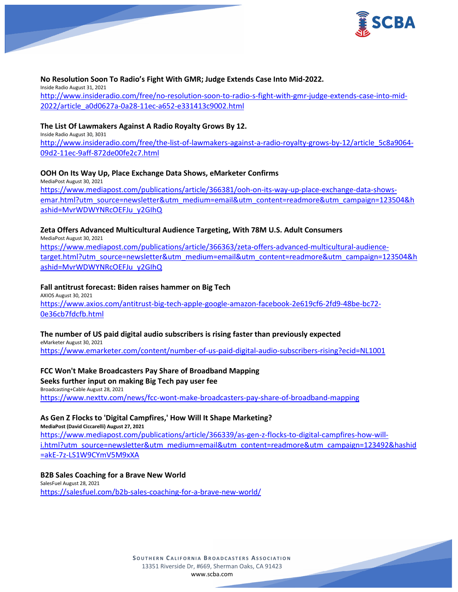

# **No Resolution Soon To Radio's Fight With GMR; Judge Extends Case Into Mid-2022.**

Inside Radio August 31, 2021 [http://www.insideradio.com/free/no-resolution-soon-to-radio-s-fight-with-gmr-judge-extends-case-into-mid-](http://www.insideradio.com/free/no-resolution-soon-to-radio-s-fight-with-gmr-judge-extends-case-into-mid-2022/article_a0d0627a-0a28-11ec-a652-e331413c9002.html)[2022/article\\_a0d0627a-0a28-11ec-a652-e331413c9002.html](http://www.insideradio.com/free/no-resolution-soon-to-radio-s-fight-with-gmr-judge-extends-case-into-mid-2022/article_a0d0627a-0a28-11ec-a652-e331413c9002.html)

#### **The List Of Lawmakers Against A Radio Royalty Grows By 12.**

Inside Radio August 30, 3031 [http://www.insideradio.com/free/the-list-of-lawmakers-against-a-radio-royalty-grows-by-12/article\\_5c8a9064-](http://www.insideradio.com/free/the-list-of-lawmakers-against-a-radio-royalty-grows-by-12/article_5c8a9064-09d2-11ec-9aff-872de00fe2c7.html) [09d2-11ec-9aff-872de00fe2c7.html](http://www.insideradio.com/free/the-list-of-lawmakers-against-a-radio-royalty-grows-by-12/article_5c8a9064-09d2-11ec-9aff-872de00fe2c7.html)

# **OOH On Its Way Up, Place Exchange Data Shows, eMarketer Confirms**

MediaPost August 30, 2021 [https://www.mediapost.com/publications/article/366381/ooh-on-its-way-up-place-exchange-data-shows](https://www.mediapost.com/publications/article/366381/ooh-on-its-way-up-place-exchange-data-shows-emar.html?utm_source=newsletter&utm_medium=email&utm_content=readmore&utm_campaign=123504&hashid=MvrWDWYNRcOEFJu_y2GIhQ)[emar.html?utm\\_source=newsletter&utm\\_medium=email&utm\\_content=readmore&utm\\_campaign=123504&h](https://www.mediapost.com/publications/article/366381/ooh-on-its-way-up-place-exchange-data-shows-emar.html?utm_source=newsletter&utm_medium=email&utm_content=readmore&utm_campaign=123504&hashid=MvrWDWYNRcOEFJu_y2GIhQ) [ashid=MvrWDWYNRcOEFJu\\_y2GIhQ](https://www.mediapost.com/publications/article/366381/ooh-on-its-way-up-place-exchange-data-shows-emar.html?utm_source=newsletter&utm_medium=email&utm_content=readmore&utm_campaign=123504&hashid=MvrWDWYNRcOEFJu_y2GIhQ)

#### **Zeta Offers Advanced Multicultural Audience Targeting, With 78M U.S. Adult Consumers**

MediaPost August 30, 2021 [https://www.mediapost.com/publications/article/366363/zeta-offers-advanced-multicultural-audience](https://www.mediapost.com/publications/article/366363/zeta-offers-advanced-multicultural-audience-target.html?utm_source=newsletter&utm_medium=email&utm_content=readmore&utm_campaign=123504&hashid=MvrWDWYNRcOEFJu_y2GIhQ)[target.html?utm\\_source=newsletter&utm\\_medium=email&utm\\_content=readmore&utm\\_campaign=123504&h](https://www.mediapost.com/publications/article/366363/zeta-offers-advanced-multicultural-audience-target.html?utm_source=newsletter&utm_medium=email&utm_content=readmore&utm_campaign=123504&hashid=MvrWDWYNRcOEFJu_y2GIhQ) [ashid=MvrWDWYNRcOEFJu\\_y2GIhQ](https://www.mediapost.com/publications/article/366363/zeta-offers-advanced-multicultural-audience-target.html?utm_source=newsletter&utm_medium=email&utm_content=readmore&utm_campaign=123504&hashid=MvrWDWYNRcOEFJu_y2GIhQ)

# **Fall antitrust forecast: Biden raises hammer on Big Tech**

AXIOS August 30, 2021 [https://www.axios.com/antitrust-big-tech-apple-google-amazon-facebook-2e619cf6-2fd9-48be-bc72-](https://www.axios.com/antitrust-big-tech-apple-google-amazon-facebook-2e619cf6-2fd9-48be-bc72-0e36cb7fdcfb.html) [0e36cb7fdcfb.html](https://www.axios.com/antitrust-big-tech-apple-google-amazon-facebook-2e619cf6-2fd9-48be-bc72-0e36cb7fdcfb.html)

# **The number of US paid digital audio subscribers is rising faster than previously expected**

eMarketer August 30, 2021 <https://www.emarketer.com/content/number-of-us-paid-digital-audio-subscribers-rising?ecid=NL1001>

#### **FCC Won't Make Broadcasters Pay Share of Broadband Mapping**

#### **Seeks further input on making Big Tech pay user fee**

Broadcasting+Cable August 28, 2021 <https://www.nexttv.com/news/fcc-wont-make-broadcasters-pay-share-of-broadband-mapping>

# **As Gen Z Flocks to 'Digital Campfires,' How Will It Shape Marketing?**

**MediaPost (David Ciccarelli) August 27, 2021** [https://www.mediapost.com/publications/article/366339/as-gen-z-flocks-to-digital-campfires-how-will](https://www.mediapost.com/publications/article/366339/as-gen-z-flocks-to-digital-campfires-how-will-i.html?utm_source=newsletter&utm_medium=email&utm_content=readmore&utm_campaign=123492&hashid=akE-7z-LS1W9CYmV5M9xXA)[i.html?utm\\_source=newsletter&utm\\_medium=email&utm\\_content=readmore&utm\\_campaign=123492&hashid](https://www.mediapost.com/publications/article/366339/as-gen-z-flocks-to-digital-campfires-how-will-i.html?utm_source=newsletter&utm_medium=email&utm_content=readmore&utm_campaign=123492&hashid=akE-7z-LS1W9CYmV5M9xXA) [=akE-7z-LS1W9CYmV5M9xXA](https://www.mediapost.com/publications/article/366339/as-gen-z-flocks-to-digital-campfires-how-will-i.html?utm_source=newsletter&utm_medium=email&utm_content=readmore&utm_campaign=123492&hashid=akE-7z-LS1W9CYmV5M9xXA)

#### **B2B Sales Coaching for a Brave New World**

SalesFuel August 28, 2021 <https://salesfuel.com/b2b-sales-coaching-for-a-brave-new-world/>